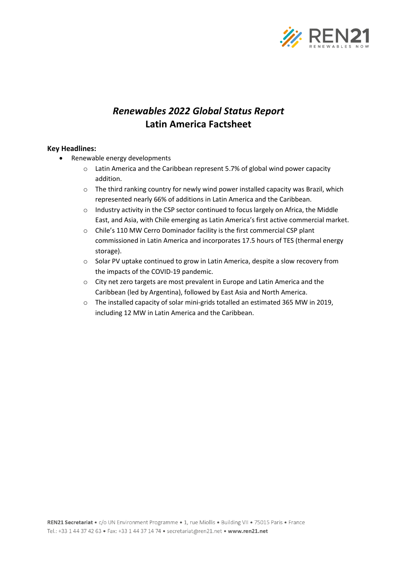

## *Renewables 2022 Global Status Report* **Latin America Factsheet**

## **Key Headlines:**

- Renewable energy developments
	- o Latin America and the Caribbean represent 5.7% of global wind power capacity addition.
	- $\circ$  The third ranking country for newly wind power installed capacity was Brazil, which represented nearly 66% of additions in Latin America and the Caribbean.
	- o Industry activity in the CSP sector continued to focus largely on Africa, the Middle East, and Asia, with Chile emerging as Latin America's first active commercial market.
	- o Chile's 110 MW Cerro Dominador facility is the first commercial CSP plant commissioned in Latin America and incorporates 17.5 hours of TES (thermal energy storage).
	- o Solar PV uptake continued to grow in Latin America, despite a slow recovery from the impacts of the COVID-19 pandemic.
	- o City net zero targets are most prevalent in Europe and Latin America and the Caribbean (led by Argentina), followed by East Asia and North America.
	- o The installed capacity of solar mini-grids totalled an estimated 365 MW in 2019, including 12 MW in Latin America and the Caribbean.